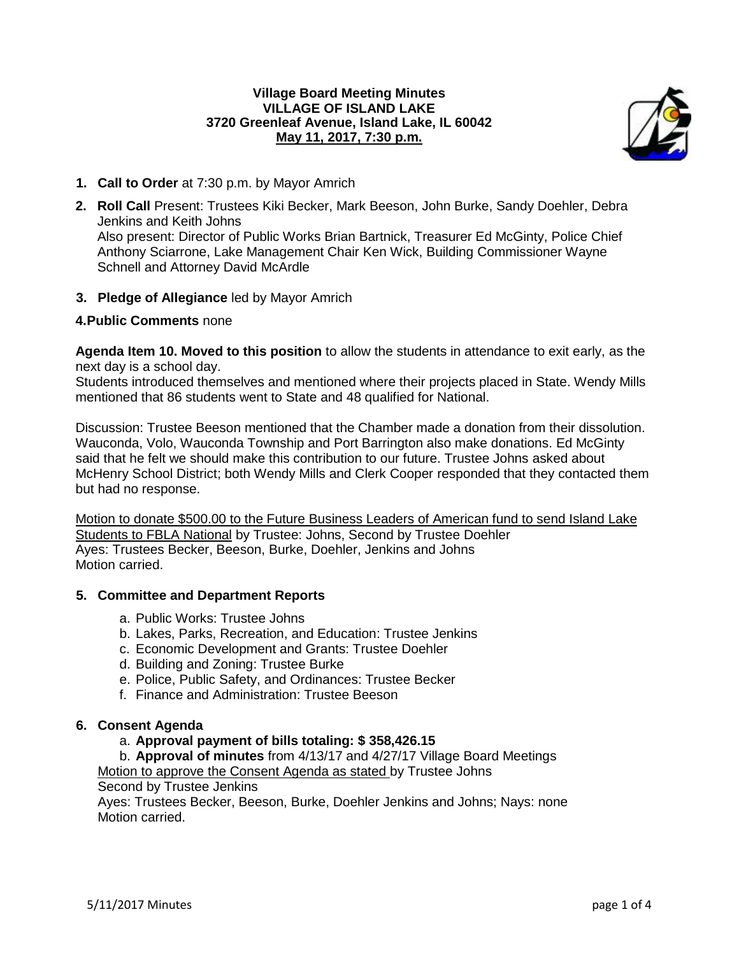## **Village Board Meeting Minutes VILLAGE OF ISLAND LAKE 3720 Greenleaf Avenue, Island Lake, IL 60042 May 11, 2017, 7:30 p.m.**



- **1. Call to Order** at 7:30 p.m. by Mayor Amrich
- **2. Roll Call** Present: Trustees Kiki Becker, Mark Beeson, John Burke, Sandy Doehler, Debra Jenkins and Keith Johns Also present: Director of Public Works Brian Bartnick, Treasurer Ed McGinty, Police Chief Anthony Sciarrone, Lake Management Chair Ken Wick, Building Commissioner Wayne Schnell and Attorney David McArdle
- **3. Pledge of Allegiance** led by Mayor Amrich

## **4.Public Comments** none

**Agenda Item 10. Moved to this position** to allow the students in attendance to exit early, as the next day is a school day.

Students introduced themselves and mentioned where their projects placed in State. Wendy Mills mentioned that 86 students went to State and 48 qualified for National.

Discussion: Trustee Beeson mentioned that the Chamber made a donation from their dissolution. Wauconda, Volo, Wauconda Township and Port Barrington also make donations. Ed McGinty said that he felt we should make this contribution to our future. Trustee Johns asked about McHenry School District; both Wendy Mills and Clerk Cooper responded that they contacted them but had no response.

Motion to donate \$500.00 to the Future Business Leaders of American fund to send Island Lake Students to FBLA National by Trustee: Johns, Second by Trustee Doehler Ayes: Trustees Becker, Beeson, Burke, Doehler, Jenkins and Johns Motion carried.

### **5. Committee and Department Reports**

- a. Public Works: Trustee Johns
- b. Lakes, Parks, Recreation, and Education: Trustee Jenkins
- c. Economic Development and Grants: Trustee Doehler
- d. Building and Zoning: Trustee Burke
- e. Police, Public Safety, and Ordinances: Trustee Becker
- f. Finance and Administration: Trustee Beeson

### **6. Consent Agenda**

- a. **Approval payment of bills totaling: \$ 358,426.15**
- b. **Approval of minutes** from 4/13/17 and 4/27/17 Village Board Meetings

Motion to approve the Consent Agenda as stated by Trustee Johns

Second by Trustee Jenkins

Ayes: Trustees Becker, Beeson, Burke, Doehler Jenkins and Johns; Nays: none Motion carried.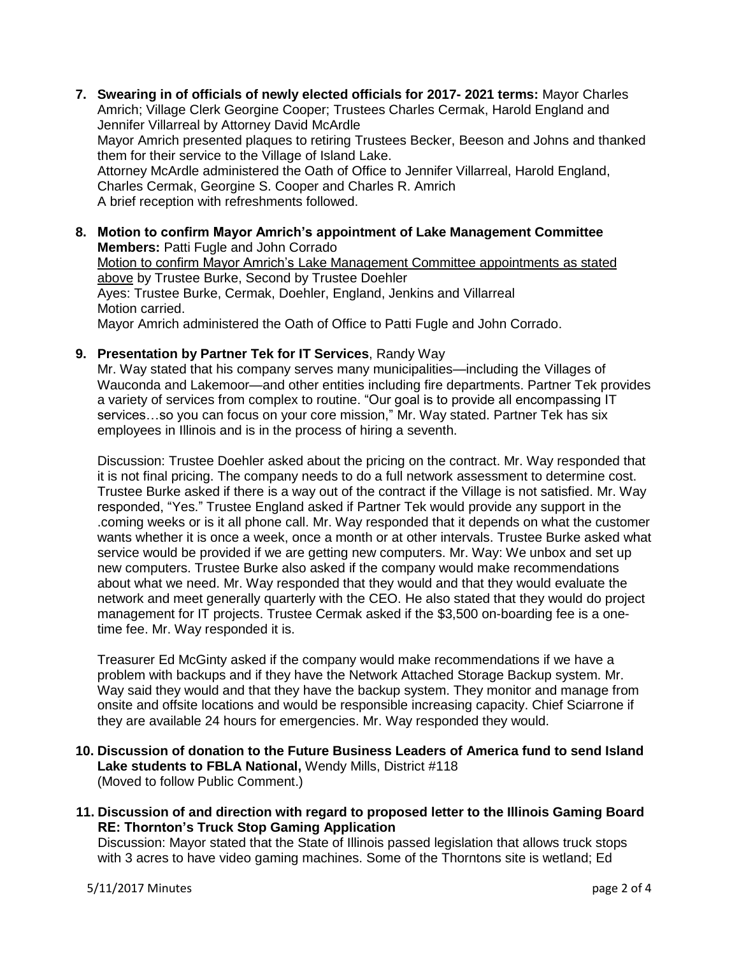- **7. Swearing in of officials of newly elected officials for 2017- 2021 terms:** Mayor Charles Amrich; Village Clerk Georgine Cooper; Trustees Charles Cermak, Harold England and Jennifer Villarreal by Attorney David McArdle Mayor Amrich presented plaques to retiring Trustees Becker, Beeson and Johns and thanked them for their service to the Village of Island Lake. Attorney McArdle administered the Oath of Office to Jennifer Villarreal, Harold England, Charles Cermak, Georgine S. Cooper and Charles R. Amrich A brief reception with refreshments followed.
- **8. Motion to confirm Mayor Amrich's appointment of Lake Management Committee Members:** Patti Fugle and John Corrado Motion to confirm Mayor Amrich's Lake Management Committee appointments as stated above by Trustee Burke, Second by Trustee Doehler Ayes: Trustee Burke, Cermak, Doehler, England, Jenkins and Villarreal Motion carried. Mayor Amrich administered the Oath of Office to Patti Fugle and John Corrado.
- **9. Presentation by Partner Tek for IT Services**, Randy Way

Mr. Way stated that his company serves many municipalities—including the Villages of Wauconda and Lakemoor—and other entities including fire departments. Partner Tek provides a variety of services from complex to routine. "Our goal is to provide all encompassing IT services...so you can focus on your core mission," Mr. Way stated. Partner Tek has six employees in Illinois and is in the process of hiring a seventh.

Discussion: Trustee Doehler asked about the pricing on the contract. Mr. Way responded that it is not final pricing. The company needs to do a full network assessment to determine cost. Trustee Burke asked if there is a way out of the contract if the Village is not satisfied. Mr. Way responded, "Yes." Trustee England asked if Partner Tek would provide any support in the .coming weeks or is it all phone call. Mr. Way responded that it depends on what the customer wants whether it is once a week, once a month or at other intervals. Trustee Burke asked what service would be provided if we are getting new computers. Mr. Way: We unbox and set up new computers. Trustee Burke also asked if the company would make recommendations about what we need. Mr. Way responded that they would and that they would evaluate the network and meet generally quarterly with the CEO. He also stated that they would do project management for IT projects. Trustee Cermak asked if the \$3,500 on-boarding fee is a onetime fee. Mr. Way responded it is.

Treasurer Ed McGinty asked if the company would make recommendations if we have a problem with backups and if they have the Network Attached Storage Backup system. Mr. Way said they would and that they have the backup system. They monitor and manage from onsite and offsite locations and would be responsible increasing capacity. Chief Sciarrone if they are available 24 hours for emergencies. Mr. Way responded they would.

- **10. Discussion of donation to the Future Business Leaders of America fund to send Island Lake students to FBLA National,** Wendy Mills, District #118 (Moved to follow Public Comment.)
- **11. Discussion of and direction with regard to proposed letter to the Illinois Gaming Board RE: Thornton's Truck Stop Gaming Application**

Discussion: Mayor stated that the State of Illinois passed legislation that allows truck stops with 3 acres to have video gaming machines. Some of the Thorntons site is wetland; Ed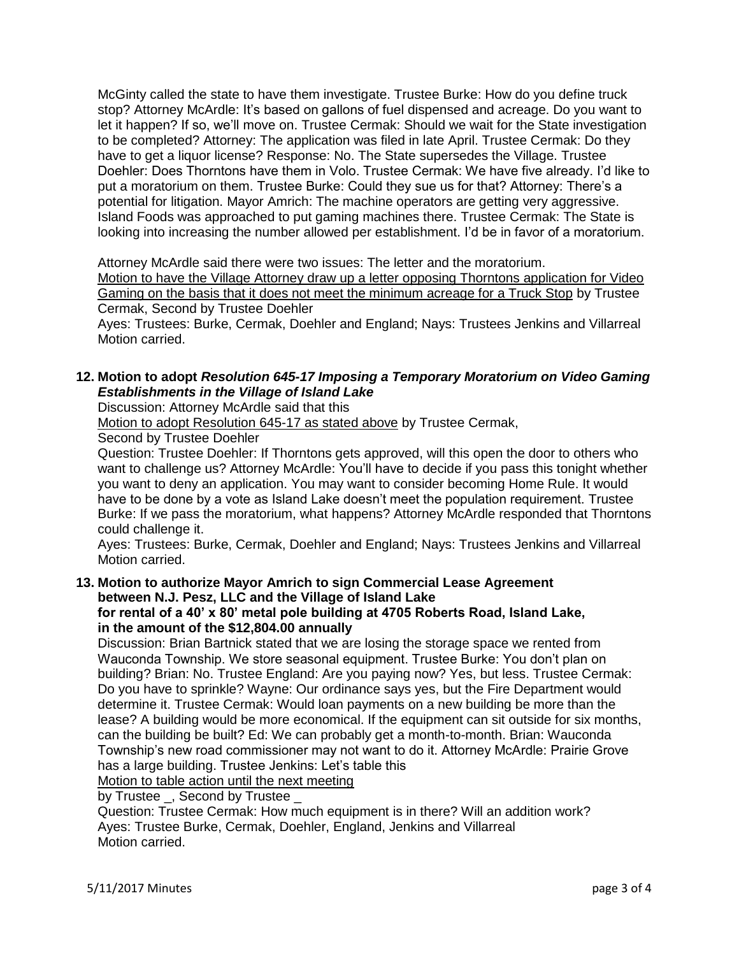McGinty called the state to have them investigate. Trustee Burke: How do you define truck stop? Attorney McArdle: It's based on gallons of fuel dispensed and acreage. Do you want to let it happen? If so, we'll move on. Trustee Cermak: Should we wait for the State investigation to be completed? Attorney: The application was filed in late April. Trustee Cermak: Do they have to get a liquor license? Response: No. The State supersedes the Village. Trustee Doehler: Does Thorntons have them in Volo. Trustee Cermak: We have five already. I'd like to put a moratorium on them. Trustee Burke: Could they sue us for that? Attorney: There's a potential for litigation. Mayor Amrich: The machine operators are getting very aggressive. Island Foods was approached to put gaming machines there. Trustee Cermak: The State is looking into increasing the number allowed per establishment. I'd be in favor of a moratorium.

Attorney McArdle said there were two issues: The letter and the moratorium. Motion to have the Village Attorney draw up a letter opposing Thorntons application for Video Gaming on the basis that it does not meet the minimum acreage for a Truck Stop by Trustee Cermak, Second by Trustee Doehler

Ayes: Trustees: Burke, Cermak, Doehler and England; Nays: Trustees Jenkins and Villarreal Motion carried.

# **12. Motion to adopt** *Resolution 645-17 Imposing a Temporary Moratorium on Video Gaming Establishments in the Village of Island Lake*

Discussion: Attorney McArdle said that this

Motion to adopt Resolution 645-17 as stated above by Trustee Cermak,

Second by Trustee Doehler

Question: Trustee Doehler: If Thorntons gets approved, will this open the door to others who want to challenge us? Attorney McArdle: You'll have to decide if you pass this tonight whether you want to deny an application. You may want to consider becoming Home Rule. It would have to be done by a vote as Island Lake doesn't meet the population requirement. Trustee Burke: If we pass the moratorium, what happens? Attorney McArdle responded that Thorntons could challenge it.

Ayes: Trustees: Burke, Cermak, Doehler and England; Nays: Trustees Jenkins and Villarreal Motion carried.

# **13. Motion to authorize Mayor Amrich to sign Commercial Lease Agreement between N.J. Pesz, LLC and the Village of Island Lake**

## **for rental of a 40' x 80' metal pole building at 4705 Roberts Road, Island Lake, in the amount of the \$12,804.00 annually**

Discussion: Brian Bartnick stated that we are losing the storage space we rented from Wauconda Township. We store seasonal equipment. Trustee Burke: You don't plan on building? Brian: No. Trustee England: Are you paying now? Yes, but less. Trustee Cermak: Do you have to sprinkle? Wayne: Our ordinance says yes, but the Fire Department would determine it. Trustee Cermak: Would loan payments on a new building be more than the lease? A building would be more economical. If the equipment can sit outside for six months, can the building be built? Ed: We can probably get a month-to-month. Brian: Wauconda Township's new road commissioner may not want to do it. Attorney McArdle: Prairie Grove has a large building. Trustee Jenkins: Let's table this

Motion to table action until the next meeting

by Trustee \_, Second by Trustee \_

Question: Trustee Cermak: How much equipment is in there? Will an addition work? Ayes: Trustee Burke, Cermak, Doehler, England, Jenkins and Villarreal Motion carried.